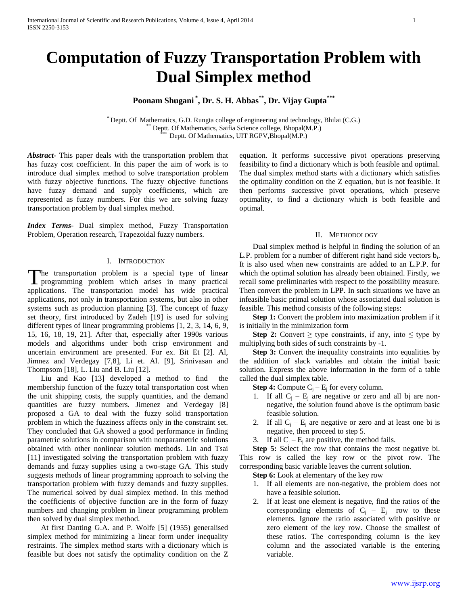# **Computation of Fuzzy Transportation Problem with Dual Simplex method**

## **Poonam Shugani \* , Dr. S. H. Abbas\*\* , Dr. Vijay Gupta\*\*\***

\* Deptt. Of Mathematics, G.D. Rungta college of engineering and technology, Bhilai (C.G.) Deptt. Of Mathematics, Saifia Science college, Bhopal(M.P.) Deptt. Of Mathematics, UIT RGPV, Bhopal(M.P.)

*Abstract***-** This paper deals with the transportation problem that has fuzzy cost coefficient. In this paper the aim of work is to introduce dual simplex method to solve transportation problem with fuzzy objective functions. The fuzzy objective functions have fuzzy demand and supply coefficients, which are represented as fuzzy numbers. For this we are solving fuzzy transportation problem by dual simplex method.

*Index Terms*- Dual simplex method, Fuzzy Transportation Problem, Operation research, Trapezoidal fuzzy numbers.

### I. INTRODUCTION

The transportation problem is a special type of linear The transportation problem is a special type of linear programming problem which arises in many practical applications. The transportation model has wide practical applications, not only in transportation systems, but also in other systems such as production planning [3]. The concept of fuzzy set theory, first introduced by Zadeh [19] is used for solving different types of linear programming problems [1, 2, 3, 14, 6, 9, 15, 16, 18, 19, 21]. After that, especially after 1990s various models and algorithms under both crisp environment and uncertain environment are presented. For ex. Bit Et [2]. Al, Jimnez and Verdegay [7,8], Li et. Al. [9], Srinivasan and Thompsom [18], L. Liu and B. Liu [12].

 Liu and Kao [13] developed a method to find the membership function of the fuzzy total transportation cost when the unit shipping costs, the supply quantities, and the demand quantities are fuzzy numbers. Jimenez and Verdegay [8] proposed a GA to deal with the fuzzy solid transportation problem in which the fuzziness affects only in the constraint set. They concluded that GA showed a good performance in finding parametric solutions in comparison with nonparametric solutions obtained with other nonlinear solution methods. Lin and Tsai [11] investigated solving the transportation problem with fuzzy demands and fuzzy supplies using a two-stage GA. This study suggests methods of linear programming approach to solving the transportation problem with fuzzy demands and fuzzy supplies. The numerical solved by dual simplex method. In this method the coefficients of objective function are in the form of fuzzy numbers and changing problem in linear programming problem then solved by dual simplex method.

 At first Danting G.A. and P. Wolfe [5] (1955) generalised simplex method for minimizing a linear form under inequality restraints. The simplex method starts with a dictionary which is feasible but does not satisfy the optimality condition on the Z equation. It performs successive pivot operations preserving feasibility to find a dictionary which is both feasible and optimal. The dual simplex method starts with a dictionary which satisfies the optimality condition on the Z equation, but is not feasible. It then performs successive pivot operations, which preserve optimality, to find a dictionary which is both feasible and optimal.

#### II. METHODOLOGY

 Dual simplex method is helpful in finding the solution of an L.P. problem for a number of different right hand side vectors  $b_i$ . It is also used when new constraints are added to an L.P.P. for which the optimal solution has already been obtained. Firstly, we recall some preliminaries with respect to the possibility measure. Then convert the problem in LPP. In such situations we have an infeasible basic primal solution whose associated dual solution is feasible. This method consists of the following steps:

**Step 1:** Convert the problem into maximization problem if it is initially in the minimization form

**Step 2:** Convert  $\geq$  type constraints, if any, into  $\leq$  type by multiplying both sides of such constraints by -1.

**Step 3:** Convert the inequality constraints into equalities by the addition of slack variables and obtain the initial basic solution. Express the above information in the form of a table called the dual simplex table.

**Step 4:** Compute  $C_i - E_j$  for every column.

- 1. If all  $C_i E_i$  are negative or zero and all bj are nonnegative, the solution found above is the optimum basic feasible solution.
- 2. If all  $C_i E_i$  are negative or zero and at least one bi is negative, then proceed to step 5.
- 3. If all  $C_i E_i$  are positive, the method fails.

 **Step 5:** Select the row that contains the most negative bi. This row is called the key row or the pivot row. The corresponding basic variable leaves the current solution.

**Step 6:** Look at elementary of the key row

- 1. If all elements are non-negative, the problem does not have a feasible solution.
- 2. If at least one element is negative, find the ratios of the corresponding elements of  $C_i - E_j$  row to these elements. Ignore the ratio associated with positive or zero element of the key row. Choose the smallest of these ratios. The corresponding column is the key column and the associated variable is the entering variable.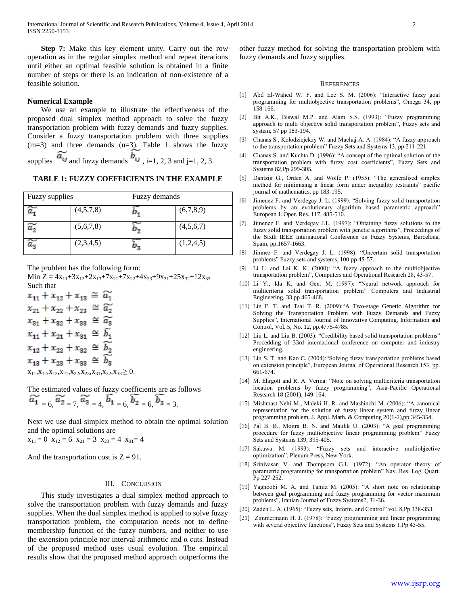**Step 7:** Make this key element unity. Carry out the row operation as in the regular simplex method and repeat iterations until either an optimal feasible solution is obtained in a finite number of steps or there is an indication of non-existence of a feasible solution.

#### **Numerical Example**

 We use an example to illustrate the effectiveness of the proposed dual simplex method approach to solve the fuzzy transportation problem with fuzzy demands and fuzzy supplies. Consider a fuzzy transportation problem with three supplies  $(m=3)$  and three demands  $(n=3)$ . Table 1 shows the fuzzy supplies  $\widetilde{a_{ij}}$  and fuzzy demands  $b_{ij}$ , i=1, 2, 3 and j=1, 2, 3.

**TABLE 1: FUZZY COEFFICIENTS IN THE EXAMPLE**

| <b>Fuzzy</b> supplies |           |    | Fuzzy demands |  |
|-----------------------|-----------|----|---------------|--|
|                       | (4,5,7,8) |    | (6,7,8,9)     |  |
| ≈                     | (5,6,7,8) |    | (4,5,6,7)     |  |
|                       | (2,3,4,5) | 95 | (1,2,4,5)     |  |

The problem has the following form:

Min  $Z = 4x_{11} + 3x_{12} + 2x_{13} + 7x_{21} + 7x_{22} + 4x_{23} + 9x_{31} + 25x_{32} + 12x_{33}$ Such that

 $x_{11} + x_{12} + x_{13} \approx \tilde{a}_1$  $x_{21}+x_{22}+x_{23}~\cong~ \widetilde{a_2}$  $x_{31} + x_{32} + x_{33} \approx \tilde{a}_3$  $x_{11} + x_{21} + x_{31} \approx \tilde{b}_1$  $x_{12} + x_{22} + x_{32} \approx \widetilde{b_2}$  $x_{13} + x_{23} + x_{33} \approx \widetilde{b_3}$  $x_{11},x_{12},x_{13},x_{21},x_{22},x_{23},x_{31},x_{32},x_{33} \ge 0.$ 

The estimated values of fuzzy coefficients are as follows  $\sim$ ా

$$
a_1 = 6
$$
,  $a_2 = 7$ ,  $a_3 = 4$ ,  $b_1 = 6$ ,  $b_2 = 6$ ,  $b_3 = 3$ .

Next we use dual simplex method to obtain the optimal solution and the optimal solutions are  $x_{11} = 0$   $x_{12} = 6$   $x_{21} = 3$   $x_{23} = 4$   $x_{31} = 4$ 

And the transportation cost is  $Z = 91$ .

#### III. CONCLUSION

 This study investigates a dual simplex method approach to solve the transportation problem with fuzzy demands and fuzzy supplies. When the dual simplex method is applied to solve fuzzy transportation problem, the computation needs not to define membership function of the fuzzy numbers, and neither to use the extension principle nor interval arithmetic and α cuts. Instead of the proposed method uses usual evolution. The empirical results show that the proposed method approach outperforms the other fuzzy method for solving the transportation problem with fuzzy demands and fuzzy supplies.

#### **REFERENCES**

- [1] Abd El-Wahed W. F. and Lee S. M. (2006): "Interactive fuzzy goal programming for multiobjective transportation problems", Omega 34, pp 158-166.
- [2] Bit A.K., Biswal M.P. and Alam S.S. (1993): "Fuzzy programming approach to multi objective solid transportation problem", Fuzzy sets and system, 57 pp 183-194.
- [3] Chanas S., Kolodziejckzy W. and Machaj A. A. (1984): "A fuzzy approach to the transportation problem" Fuzzy Sets and Systems 13, pp 211-221.
- [4] Chanas S. and Kuchta D. (1996): "A concept of the optimal solution of the transportation problem with fuzzy cost coefficients", Fuzzy Sets and Systems 82,Pp 299-305.
- [5] Dantzig G., Orden A. and Wolfe P. (1955): "The generalised simplex method for minimising a linear form under inequality restraints" pacific journal of mathematics, pp 183-195.
- [6] Jimenez F. and Verdegay J. L. (1999): "Solving fuzzy solid transportation problems by an evolutionary algorithm based parametric approach" European J. Oper. Res. 117, 485-510.
- [7] Jimenez F. and Verdegay J.L. (1997): "Obtaining fuzzy solutions to the fuzzy solid transportation problem with genetic algorithms", Proceedings of the Sixth IEEE International Conference on Fuzzy Systems, Barcelona, Spain, pp.1657-1663.
- [8] Jimnez F. and Verdegay J. L. (1998): "Uncertain solid transportation problems" Fuzzy sets and systems, 100 pp 45-57.
- [9] Li L. and Lai K. K. (2000): "A fuzzy approach to the multiobjective transportation problem", Computers and Operational Research 28, 43-57.
- [10] Li Y., Ida K. and Gen. M. (1997): "Neural network approach for multicriteria solid transportation problem" Computers and Industrial Engineering, 33 pp 465-468.
- [11] Lin F. T. and Tsai T. R. (2009): "A Two-stage Genetic Algorithm for Solving the Transportation Problem with Fuzzy Demands and Fuzzy Supplies", International Journal of Innovative Computing, Information and Control, Vol. 5, No. 12, pp.4775-4785.
- [12] Liu L. and Liu B. (2003): "Credibility based solid transportation problems" Procedding of 33rd international conference on computer and industry engineering.
- [13] Liu S. T. and Kao C. (2004): "Solving fuzzy transportation problems based on extension principle", European Journal of Operational Research 153, pp. 661-674.
- [14] M. Ehrgott and R. A. Verma: "Note on solving multicriteria transportation location problems by fuzzy programming", Asia-Pacific Operational Research 18 (2001), 149-164.
- [15] Mishmast Nehi M., Maleki H. R. and Mashinchi M. (2006): "A canonical representation for the solution of fuzzy linear system and fuzzy linear programming problem, J. Appl. Math. & Computing 20(1-2),pp 345-354.
- [16] Pal B. B., Moitra B. N. and Maulik U. (2003): "A goal programming procedure for fuzzy multiobjective linear programming problem" Fuzzy Sets and Systems 139, 395-405.
- [17] Sakawa M. (1993): "Fuzzy sets and interactive multiobjective optimization", Plenum Press, New York.
- [18] Srinivasan V. and Thompsom G.L. (1972): "An operator theory of parametric programming for transportation problem" Nav. Res. Log. Quart. Pp 227-252.
- [19] Yaghoobi M. A. and Tamiz M. (2005): "A short note on relationship between goal programming and fuzzy programming for vector maximum problems", Iranian Journal of Fuzzy Systems2, 31-36.
- [20] Zadeh L. A. (1965): "Fuzzy sets, Inform. and Control" vol. 8, Pp 338-353.
- [21] Zimmermann H. J. (1978): "Fuzzy programming and linear programming with several objective functions", Fuzzy Sets and Systems 1,Pp 45-55.